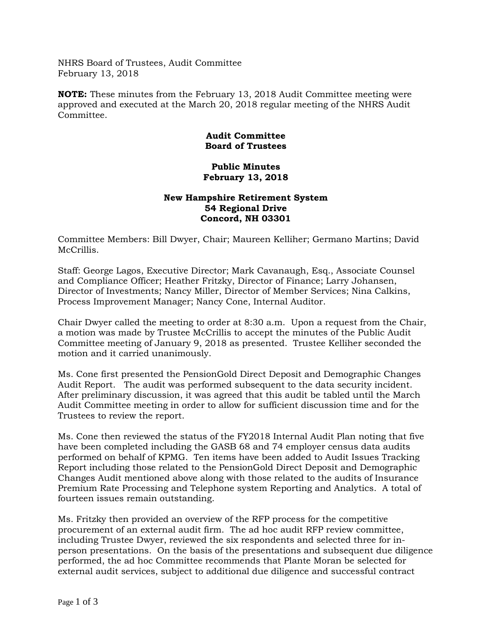NHRS Board of Trustees, Audit Committee February 13, 2018

**NOTE:** These minutes from the February 13, 2018 Audit Committee meeting were approved and executed at the March 20, 2018 regular meeting of the NHRS Audit Committee.

## **Audit Committee Board of Trustees**

## **Public Minutes February 13, 2018**

## **New Hampshire Retirement System 54 Regional Drive Concord, NH 03301**

Committee Members: Bill Dwyer, Chair; Maureen Kelliher; Germano Martins; David McCrillis.

Staff: George Lagos, Executive Director; Mark Cavanaugh, Esq., Associate Counsel and Compliance Officer; Heather Fritzky, Director of Finance; Larry Johansen, Director of Investments; Nancy Miller, Director of Member Services; Nina Calkins, Process Improvement Manager; Nancy Cone, Internal Auditor.

Chair Dwyer called the meeting to order at 8:30 a.m. Upon a request from the Chair, a motion was made by Trustee McCrillis to accept the minutes of the Public Audit Committee meeting of January 9, 2018 as presented. Trustee Kelliher seconded the motion and it carried unanimously.

Ms. Cone first presented the PensionGold Direct Deposit and Demographic Changes Audit Report. The audit was performed subsequent to the data security incident. After preliminary discussion, it was agreed that this audit be tabled until the March Audit Committee meeting in order to allow for sufficient discussion time and for the Trustees to review the report.

Ms. Cone then reviewed the status of the FY2018 Internal Audit Plan noting that five have been completed including the GASB 68 and 74 employer census data audits performed on behalf of KPMG. Ten items have been added to Audit Issues Tracking Report including those related to the PensionGold Direct Deposit and Demographic Changes Audit mentioned above along with those related to the audits of Insurance Premium Rate Processing and Telephone system Reporting and Analytics. A total of fourteen issues remain outstanding.

Ms. Fritzky then provided an overview of the RFP process for the competitive procurement of an external audit firm. The ad hoc audit RFP review committee, including Trustee Dwyer, reviewed the six respondents and selected three for inperson presentations. On the basis of the presentations and subsequent due diligence performed, the ad hoc Committee recommends that Plante Moran be selected for external audit services, subject to additional due diligence and successful contract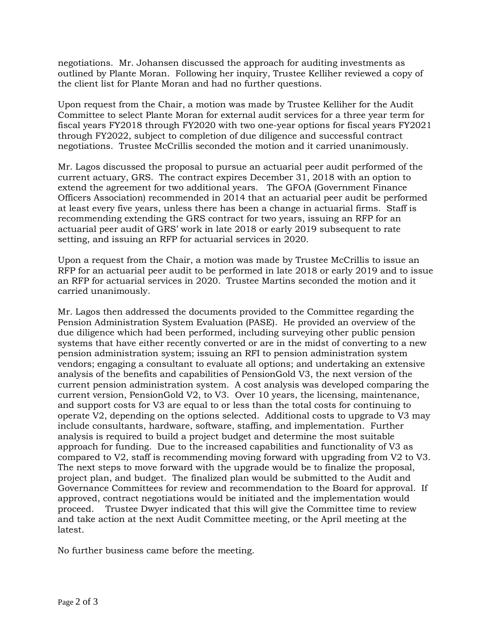negotiations. Mr. Johansen discussed the approach for auditing investments as outlined by Plante Moran. Following her inquiry, Trustee Kelliher reviewed a copy of the client list for Plante Moran and had no further questions.

Upon request from the Chair, a motion was made by Trustee Kelliher for the Audit Committee to select Plante Moran for external audit services for a three year term for fiscal years FY2018 through FY2020 with two one-year options for fiscal years FY2021 through FY2022, subject to completion of due diligence and successful contract negotiations. Trustee McCrillis seconded the motion and it carried unanimously.

Mr. Lagos discussed the proposal to pursue an actuarial peer audit performed of the current actuary, GRS. The contract expires December 31, 2018 with an option to extend the agreement for two additional years. The GFOA (Government Finance Officers Association) recommended in 2014 that an actuarial peer audit be performed at least every five years, unless there has been a change in actuarial firms. Staff is recommending extending the GRS contract for two years, issuing an RFP for an actuarial peer audit of GRS' work in late 2018 or early 2019 subsequent to rate setting, and issuing an RFP for actuarial services in 2020.

Upon a request from the Chair, a motion was made by Trustee McCrillis to issue an RFP for an actuarial peer audit to be performed in late 2018 or early 2019 and to issue an RFP for actuarial services in 2020. Trustee Martins seconded the motion and it carried unanimously.

Mr. Lagos then addressed the documents provided to the Committee regarding the Pension Administration System Evaluation (PASE). He provided an overview of the due diligence which had been performed, including surveying other public pension systems that have either recently converted or are in the midst of converting to a new pension administration system; issuing an RFI to pension administration system vendors; engaging a consultant to evaluate all options; and undertaking an extensive analysis of the benefits and capabilities of PensionGold V3, the next version of the current pension administration system. A cost analysis was developed comparing the current version, PensionGold V2, to V3. Over 10 years, the licensing, maintenance, and support costs for V3 are equal to or less than the total costs for continuing to operate V2, depending on the options selected. Additional costs to upgrade to V3 may include consultants, hardware, software, staffing, and implementation. Further analysis is required to build a project budget and determine the most suitable approach for funding. Due to the increased capabilities and functionality of V3 as compared to V2, staff is recommending moving forward with upgrading from V2 to V3. The next steps to move forward with the upgrade would be to finalize the proposal, project plan, and budget. The finalized plan would be submitted to the Audit and Governance Committees for review and recommendation to the Board for approval. If approved, contract negotiations would be initiated and the implementation would proceed. Trustee Dwyer indicated that this will give the Committee time to review and take action at the next Audit Committee meeting, or the April meeting at the latest.

No further business came before the meeting.